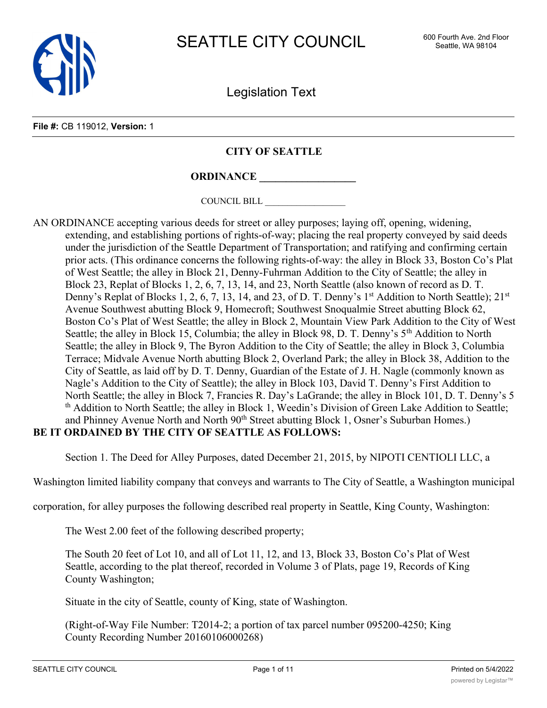

Legislation Text

#### **File #:** CB 119012, **Version:** 1

## **CITY OF SEATTLE**

# **ORDINANCE \_\_\_\_\_\_\_\_\_\_\_\_\_\_\_\_\_\_**

COUNCIL BILL \_\_\_\_\_\_\_\_\_\_\_\_\_\_\_\_\_\_

AN ORDINANCE accepting various deeds for street or alley purposes; laying off, opening, widening, extending, and establishing portions of rights-of-way; placing the real property conveyed by said deeds under the jurisdiction of the Seattle Department of Transportation; and ratifying and confirming certain prior acts. (This ordinance concerns the following rights-of-way: the alley in Block 33, Boston Co's Plat of West Seattle; the alley in Block 21, Denny-Fuhrman Addition to the City of Seattle; the alley in Block 23, Replat of Blocks 1, 2, 6, 7, 13, 14, and 23, North Seattle (also known of record as D. T. Denny's Replat of Blocks 1, 2, 6, 7, 13, 14, and 23, of D. T. Denny's  $1<sup>st</sup>$  Addition to North Seattle);  $21<sup>st</sup>$ Avenue Southwest abutting Block 9, Homecroft; Southwest Snoqualmie Street abutting Block 62, Boston Co's Plat of West Seattle; the alley in Block 2, Mountain View Park Addition to the City of West Seattle; the alley in Block 15, Columbia; the alley in Block 98, D. T. Denny's 5<sup>th</sup> Addition to North Seattle; the alley in Block 9, The Byron Addition to the City of Seattle; the alley in Block 3, Columbia Terrace; Midvale Avenue North abutting Block 2, Overland Park; the alley in Block 38, Addition to the City of Seattle, as laid off by D. T. Denny, Guardian of the Estate of J. H. Nagle (commonly known as Nagle's Addition to the City of Seattle); the alley in Block 103, David T. Denny's First Addition to North Seattle; the alley in Block 7, Francies R. Day's LaGrande; the alley in Block 101, D. T. Denny's 5 th Addition to North Seattle; the alley in Block 1, Weedin's Division of Green Lake Addition to Seattle; and Phinney Avenue North and North 90<sup>th</sup> Street abutting Block 1, Osner's Suburban Homes.) **BE IT ORDAINED BY THE CITY OF SEATTLE AS FOLLOWS:**

Section 1. The Deed for Alley Purposes, dated December 21, 2015, by NIPOTI CENTIOLI LLC, a

Washington limited liability company that conveys and warrants to The City of Seattle, a Washington municipal

corporation, for alley purposes the following described real property in Seattle, King County, Washington:

The West 2.00 feet of the following described property;

The South 20 feet of Lot 10, and all of Lot 11, 12, and 13, Block 33, Boston Co's Plat of West Seattle, according to the plat thereof, recorded in Volume 3 of Plats, page 19, Records of King County Washington;

Situate in the city of Seattle, county of King, state of Washington.

(Right-of-Way File Number: T2014-2; a portion of tax parcel number 095200-4250; King County Recording Number 20160106000268)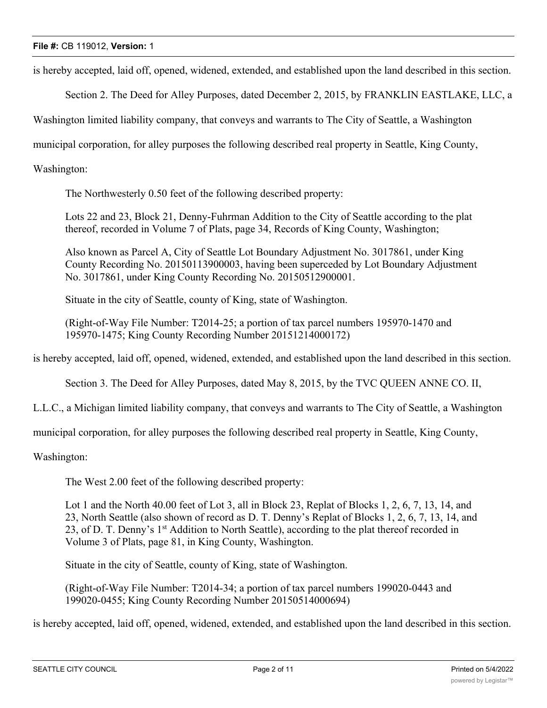is hereby accepted, laid off, opened, widened, extended, and established upon the land described in this section.

Section 2. The Deed for Alley Purposes, dated December 2, 2015, by FRANKLIN EASTLAKE, LLC, a

Washington limited liability company, that conveys and warrants to The City of Seattle, a Washington

municipal corporation, for alley purposes the following described real property in Seattle, King County,

Washington:

The Northwesterly 0.50 feet of the following described property:

Lots 22 and 23, Block 21, Denny-Fuhrman Addition to the City of Seattle according to the plat thereof, recorded in Volume 7 of Plats, page 34, Records of King County, Washington;

Also known as Parcel A, City of Seattle Lot Boundary Adjustment No. 3017861, under King County Recording No. 20150113900003, having been superceded by Lot Boundary Adjustment No. 3017861, under King County Recording No. 20150512900001.

Situate in the city of Seattle, county of King, state of Washington.

(Right-of-Way File Number: T2014-25; a portion of tax parcel numbers 195970-1470 and 195970-1475; King County Recording Number 20151214000172)

is hereby accepted, laid off, opened, widened, extended, and established upon the land described in this section.

Section 3. The Deed for Alley Purposes, dated May 8, 2015, by the TVC QUEEN ANNE CO. II,

L.L.C., a Michigan limited liability company, that conveys and warrants to The City of Seattle, a Washington

municipal corporation, for alley purposes the following described real property in Seattle, King County,

Washington:

The West 2.00 feet of the following described property:

Lot 1 and the North 40.00 feet of Lot 3, all in Block 23, Replat of Blocks 1, 2, 6, 7, 13, 14, and 23, North Seattle (also shown of record as D. T. Denny's Replat of Blocks 1, 2, 6, 7, 13, 14, and 23, of D. T. Denny's  $1<sup>st</sup>$  Addition to North Seattle), according to the plat thereof recorded in Volume 3 of Plats, page 81, in King County, Washington.

Situate in the city of Seattle, county of King, state of Washington.

(Right-of-Way File Number: T2014-34; a portion of tax parcel numbers 199020-0443 and 199020-0455; King County Recording Number 20150514000694)

is hereby accepted, laid off, opened, widened, extended, and established upon the land described in this section.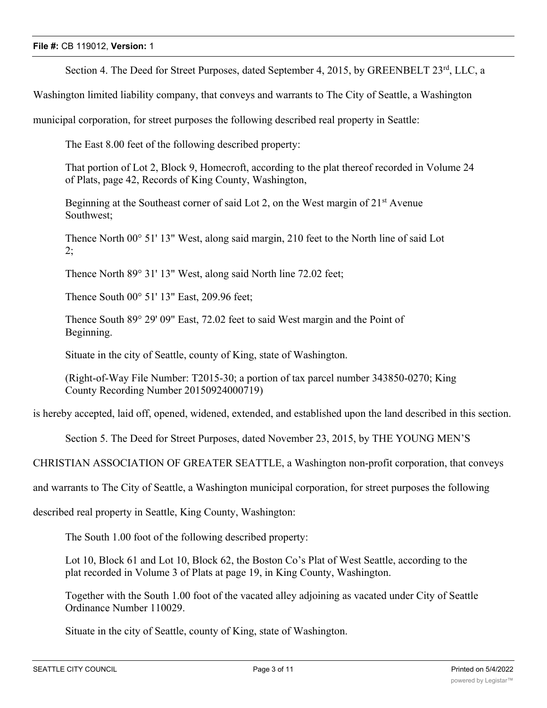Section 4. The Deed for Street Purposes, dated September 4, 2015, by GREENBELT 23<sup>rd</sup>, LLC, a

Washington limited liability company, that conveys and warrants to The City of Seattle, a Washington

municipal corporation, for street purposes the following described real property in Seattle:

The East 8.00 feet of the following described property:

That portion of Lot 2, Block 9, Homecroft, according to the plat thereof recorded in Volume 24 of Plats, page 42, Records of King County, Washington,

Beginning at the Southeast corner of said Lot 2, on the West margin of  $21<sup>st</sup>$  Avenue Southwest;

Thence North 00° 51' 13" West, along said margin, 210 feet to the North line of said Lot 2;

Thence North 89° 31' 13" West, along said North line 72.02 feet;

Thence South 00° 51' 13" East, 209.96 feet;

Thence South 89° 29' 09" East, 72.02 feet to said West margin and the Point of Beginning.

Situate in the city of Seattle, county of King, state of Washington.

(Right-of-Way File Number: T2015-30; a portion of tax parcel number 343850-0270; King County Recording Number 20150924000719)

is hereby accepted, laid off, opened, widened, extended, and established upon the land described in this section.

Section 5. The Deed for Street Purposes, dated November 23, 2015, by THE YOUNG MEN'S

CHRISTIAN ASSOCIATION OF GREATER SEATTLE, a Washington non-profit corporation, that conveys

and warrants to The City of Seattle, a Washington municipal corporation, for street purposes the following

described real property in Seattle, King County, Washington:

The South 1.00 foot of the following described property:

Lot 10, Block 61 and Lot 10, Block 62, the Boston Co's Plat of West Seattle, according to the plat recorded in Volume 3 of Plats at page 19, in King County, Washington.

Together with the South 1.00 foot of the vacated alley adjoining as vacated under City of Seattle Ordinance Number 110029.

Situate in the city of Seattle, county of King, state of Washington.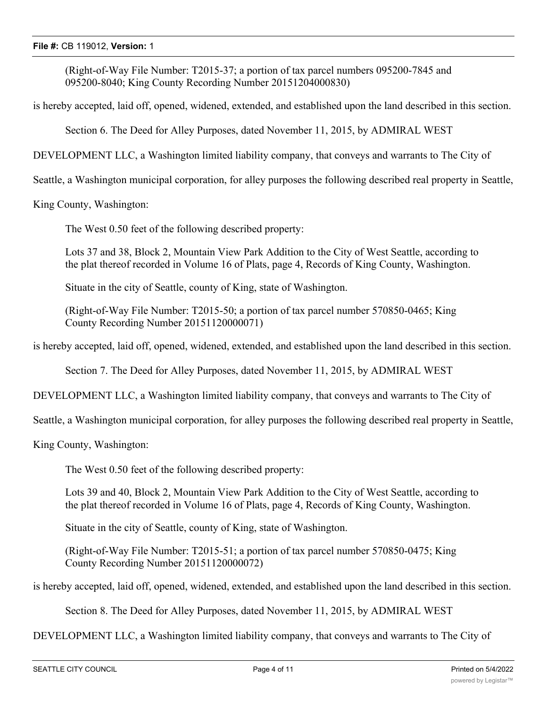(Right-of-Way File Number: T2015-37; a portion of tax parcel numbers 095200-7845 and 095200-8040; King County Recording Number 20151204000830)

is hereby accepted, laid off, opened, widened, extended, and established upon the land described in this section.

Section 6. The Deed for Alley Purposes, dated November 11, 2015, by ADMIRAL WEST

DEVELOPMENT LLC, a Washington limited liability company, that conveys and warrants to The City of

Seattle, a Washington municipal corporation, for alley purposes the following described real property in Seattle,

King County, Washington:

The West 0.50 feet of the following described property:

Lots 37 and 38, Block 2, Mountain View Park Addition to the City of West Seattle, according to the plat thereof recorded in Volume 16 of Plats, page 4, Records of King County, Washington.

Situate in the city of Seattle, county of King, state of Washington.

(Right-of-Way File Number: T2015-50; a portion of tax parcel number 570850-0465; King County Recording Number 20151120000071)

is hereby accepted, laid off, opened, widened, extended, and established upon the land described in this section.

Section 7. The Deed for Alley Purposes, dated November 11, 2015, by ADMIRAL WEST

DEVELOPMENT LLC, a Washington limited liability company, that conveys and warrants to The City of

Seattle, a Washington municipal corporation, for alley purposes the following described real property in Seattle,

King County, Washington:

The West 0.50 feet of the following described property:

Lots 39 and 40, Block 2, Mountain View Park Addition to the City of West Seattle, according to the plat thereof recorded in Volume 16 of Plats, page 4, Records of King County, Washington.

Situate in the city of Seattle, county of King, state of Washington.

(Right-of-Way File Number: T2015-51; a portion of tax parcel number 570850-0475; King County Recording Number 20151120000072)

is hereby accepted, laid off, opened, widened, extended, and established upon the land described in this section.

Section 8. The Deed for Alley Purposes, dated November 11, 2015, by ADMIRAL WEST

DEVELOPMENT LLC, a Washington limited liability company, that conveys and warrants to The City of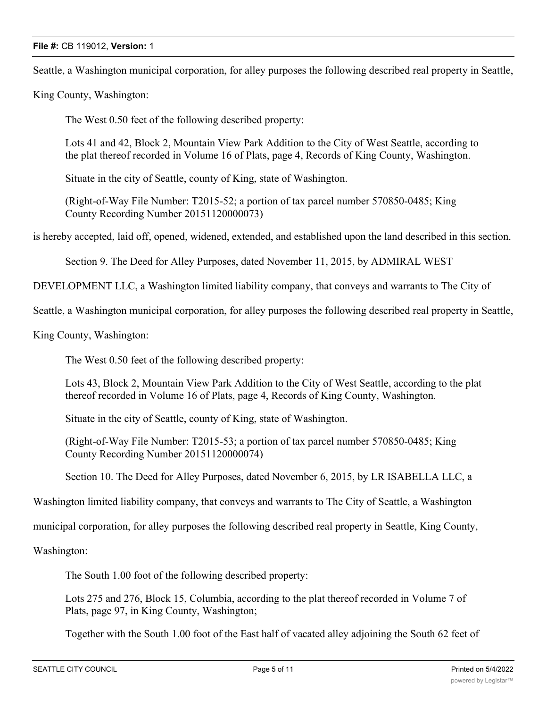Seattle, a Washington municipal corporation, for alley purposes the following described real property in Seattle,

King County, Washington:

The West 0.50 feet of the following described property:

Lots 41 and 42, Block 2, Mountain View Park Addition to the City of West Seattle, according to the plat thereof recorded in Volume 16 of Plats, page 4, Records of King County, Washington.

Situate in the city of Seattle, county of King, state of Washington.

(Right-of-Way File Number: T2015-52; a portion of tax parcel number 570850-0485; King County Recording Number 20151120000073)

is hereby accepted, laid off, opened, widened, extended, and established upon the land described in this section.

Section 9. The Deed for Alley Purposes, dated November 11, 2015, by ADMIRAL WEST

DEVELOPMENT LLC, a Washington limited liability company, that conveys and warrants to The City of

Seattle, a Washington municipal corporation, for alley purposes the following described real property in Seattle,

King County, Washington:

The West 0.50 feet of the following described property:

Lots 43, Block 2, Mountain View Park Addition to the City of West Seattle, according to the plat thereof recorded in Volume 16 of Plats, page 4, Records of King County, Washington.

Situate in the city of Seattle, county of King, state of Washington.

(Right-of-Way File Number: T2015-53; a portion of tax parcel number 570850-0485; King County Recording Number 20151120000074)

Section 10. The Deed for Alley Purposes, dated November 6, 2015, by LR ISABELLA LLC, a

Washington limited liability company, that conveys and warrants to The City of Seattle, a Washington

municipal corporation, for alley purposes the following described real property in Seattle, King County,

Washington:

The South 1.00 foot of the following described property:

Lots 275 and 276, Block 15, Columbia, according to the plat thereof recorded in Volume 7 of Plats, page 97, in King County, Washington;

Together with the South 1.00 foot of the East half of vacated alley adjoining the South 62 feet of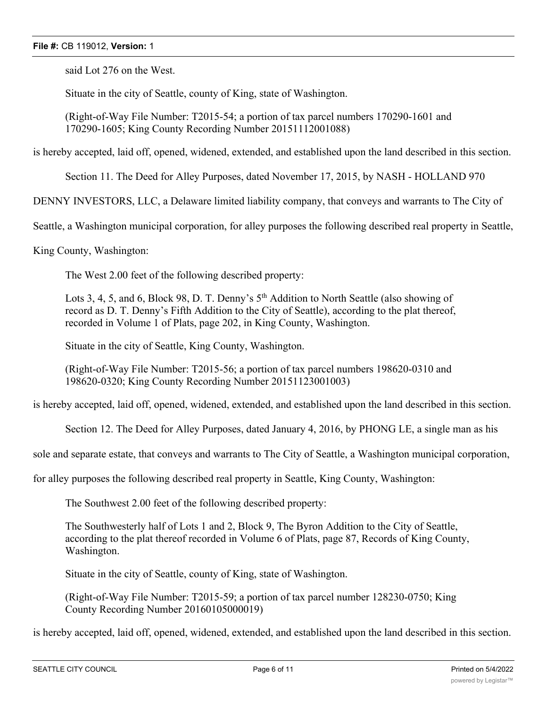said Lot 276 on the West.

Situate in the city of Seattle, county of King, state of Washington.

(Right-of-Way File Number: T2015-54; a portion of tax parcel numbers 170290-1601 and 170290-1605; King County Recording Number 20151112001088)

is hereby accepted, laid off, opened, widened, extended, and established upon the land described in this section.

Section 11. The Deed for Alley Purposes, dated November 17, 2015, by NASH - HOLLAND 970

DENNY INVESTORS, LLC, a Delaware limited liability company, that conveys and warrants to The City of

Seattle, a Washington municipal corporation, for alley purposes the following described real property in Seattle,

King County, Washington:

The West 2.00 feet of the following described property:

Lots 3, 4, 5, and 6, Block 98, D. T. Denny's  $5<sup>th</sup>$  Addition to North Seattle (also showing of record as D. T. Denny's Fifth Addition to the City of Seattle), according to the plat thereof, recorded in Volume 1 of Plats, page 202, in King County, Washington.

Situate in the city of Seattle, King County, Washington.

(Right-of-Way File Number: T2015-56; a portion of tax parcel numbers 198620-0310 and 198620-0320; King County Recording Number 20151123001003)

is hereby accepted, laid off, opened, widened, extended, and established upon the land described in this section.

Section 12. The Deed for Alley Purposes, dated January 4, 2016, by PHONG LE, a single man as his

sole and separate estate, that conveys and warrants to The City of Seattle, a Washington municipal corporation,

for alley purposes the following described real property in Seattle, King County, Washington:

The Southwest 2.00 feet of the following described property:

The Southwesterly half of Lots 1 and 2, Block 9, The Byron Addition to the City of Seattle, according to the plat thereof recorded in Volume 6 of Plats, page 87, Records of King County, Washington.

Situate in the city of Seattle, county of King, state of Washington.

(Right-of-Way File Number: T2015-59; a portion of tax parcel number 128230-0750; King County Recording Number 20160105000019)

is hereby accepted, laid off, opened, widened, extended, and established upon the land described in this section.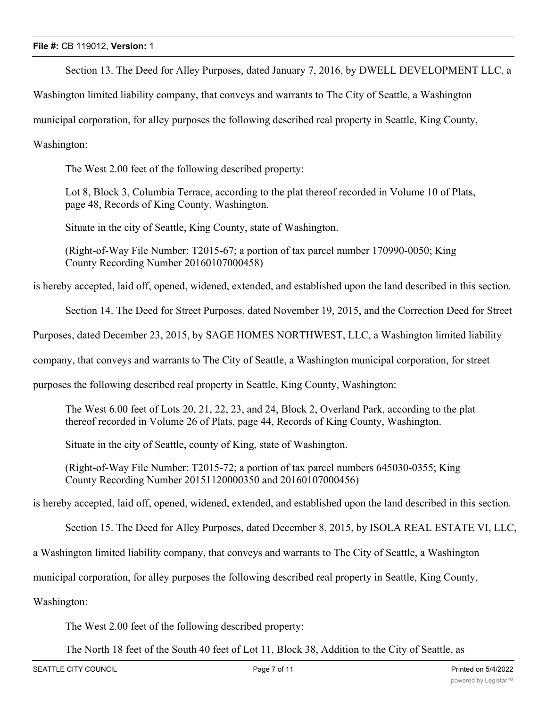Section 13. The Deed for Alley Purposes, dated January 7, 2016, by DWELL DEVELOPMENT LLC, a

Washington limited liability company, that conveys and warrants to The City of Seattle, a Washington

municipal corporation, for alley purposes the following described real property in Seattle, King County,

Washington:

The West 2.00 feet of the following described property:

Lot 8, Block 3, Columbia Terrace, according to the plat thereof recorded in Volume 10 of Plats, page 48, Records of King County, Washington.

Situate in the city of Seattle, King County, state of Washington.

(Right-of-Way File Number: T2015-67; a portion of tax parcel number 170990-0050; King County Recording Number 20160107000458)

is hereby accepted, laid off, opened, widened, extended, and established upon the land described in this section.

Section 14. The Deed for Street Purposes, dated November 19, 2015, and the Correction Deed for Street

Purposes, dated December 23, 2015, by SAGE HOMES NORTHWEST, LLC, a Washington limited liability

company, that conveys and warrants to The City of Seattle, a Washington municipal corporation, for street

purposes the following described real property in Seattle, King County, Washington:

The West 6.00 feet of Lots 20, 21, 22, 23, and 24, Block 2, Overland Park, according to the plat thereof recorded in Volume 26 of Plats, page 44, Records of King County, Washington.

Situate in the city of Seattle, county of King, state of Washington.

(Right-of-Way File Number: T2015-72; a portion of tax parcel numbers 645030-0355; King County Recording Number 20151120000350 and 20160107000456)

is hereby accepted, laid off, opened, widened, extended, and established upon the land described in this section.

Section 15. The Deed for Alley Purposes, dated December 8, 2015, by ISOLA REAL ESTATE VI, LLC,

a Washington limited liability company, that conveys and warrants to The City of Seattle, a Washington

municipal corporation, for alley purposes the following described real property in Seattle, King County,

Washington:

The West 2.00 feet of the following described property:

The North 18 feet of the South 40 feet of Lot 11, Block 38, Addition to the City of Seattle, as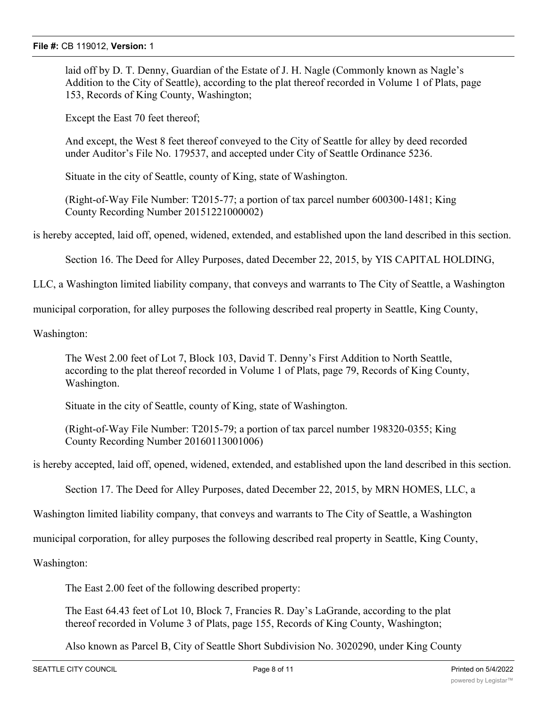laid off by D. T. Denny, Guardian of the Estate of J. H. Nagle (Commonly known as Nagle's Addition to the City of Seattle), according to the plat thereof recorded in Volume 1 of Plats, page 153, Records of King County, Washington;

Except the East 70 feet thereof;

And except, the West 8 feet thereof conveyed to the City of Seattle for alley by deed recorded under Auditor's File No. 179537, and accepted under City of Seattle Ordinance 5236.

Situate in the city of Seattle, county of King, state of Washington.

(Right-of-Way File Number: T2015-77; a portion of tax parcel number 600300-1481; King County Recording Number 20151221000002)

is hereby accepted, laid off, opened, widened, extended, and established upon the land described in this section.

Section 16. The Deed for Alley Purposes, dated December 22, 2015, by YIS CAPITAL HOLDING,

LLC, a Washington limited liability company, that conveys and warrants to The City of Seattle, a Washington

municipal corporation, for alley purposes the following described real property in Seattle, King County,

Washington:

The West 2.00 feet of Lot 7, Block 103, David T. Denny's First Addition to North Seattle, according to the plat thereof recorded in Volume 1 of Plats, page 79, Records of King County, Washington.

Situate in the city of Seattle, county of King, state of Washington.

(Right-of-Way File Number: T2015-79; a portion of tax parcel number 198320-0355; King County Recording Number 20160113001006)

is hereby accepted, laid off, opened, widened, extended, and established upon the land described in this section.

Section 17. The Deed for Alley Purposes, dated December 22, 2015, by MRN HOMES, LLC, a

Washington limited liability company, that conveys and warrants to The City of Seattle, a Washington

municipal corporation, for alley purposes the following described real property in Seattle, King County,

Washington:

The East 2.00 feet of the following described property:

The East 64.43 feet of Lot 10, Block 7, Francies R. Day's LaGrande, according to the plat thereof recorded in Volume 3 of Plats, page 155, Records of King County, Washington;

Also known as Parcel B, City of Seattle Short Subdivision No. 3020290, under King County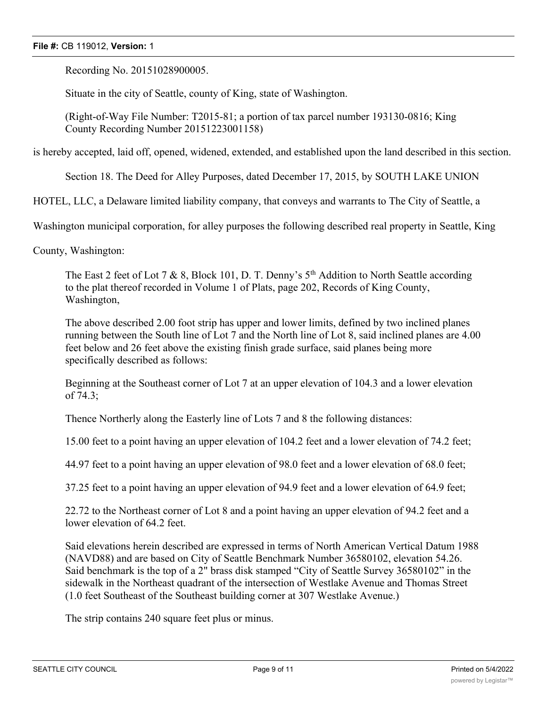Recording No. 20151028900005.

Situate in the city of Seattle, county of King, state of Washington.

(Right-of-Way File Number: T2015-81; a portion of tax parcel number 193130-0816; King County Recording Number 20151223001158)

is hereby accepted, laid off, opened, widened, extended, and established upon the land described in this section.

Section 18. The Deed for Alley Purposes, dated December 17, 2015, by SOUTH LAKE UNION

HOTEL, LLC, a Delaware limited liability company, that conveys and warrants to The City of Seattle, a

Washington municipal corporation, for alley purposes the following described real property in Seattle, King

County, Washington:

The East 2 feet of Lot 7 & 8, Block 101, D. T. Denny's 5<sup>th</sup> Addition to North Seattle according to the plat thereof recorded in Volume 1 of Plats, page 202, Records of King County, Washington,

The above described 2.00 foot strip has upper and lower limits, defined by two inclined planes running between the South line of Lot 7 and the North line of Lot 8, said inclined planes are 4.00 feet below and 26 feet above the existing finish grade surface, said planes being more specifically described as follows:

Beginning at the Southeast corner of Lot 7 at an upper elevation of 104.3 and a lower elevation of 74.3;

Thence Northerly along the Easterly line of Lots 7 and 8 the following distances:

15.00 feet to a point having an upper elevation of 104.2 feet and a lower elevation of 74.2 feet;

44.97 feet to a point having an upper elevation of 98.0 feet and a lower elevation of 68.0 feet;

37.25 feet to a point having an upper elevation of 94.9 feet and a lower elevation of 64.9 feet;

22.72 to the Northeast corner of Lot 8 and a point having an upper elevation of 94.2 feet and a lower elevation of 64.2 feet.

Said elevations herein described are expressed in terms of North American Vertical Datum 1988 (NAVD88) and are based on City of Seattle Benchmark Number 36580102, elevation 54.26. Said benchmark is the top of a 2" brass disk stamped "City of Seattle Survey 36580102" in the sidewalk in the Northeast quadrant of the intersection of Westlake Avenue and Thomas Street (1.0 feet Southeast of the Southeast building corner at 307 Westlake Avenue.)

The strip contains 240 square feet plus or minus.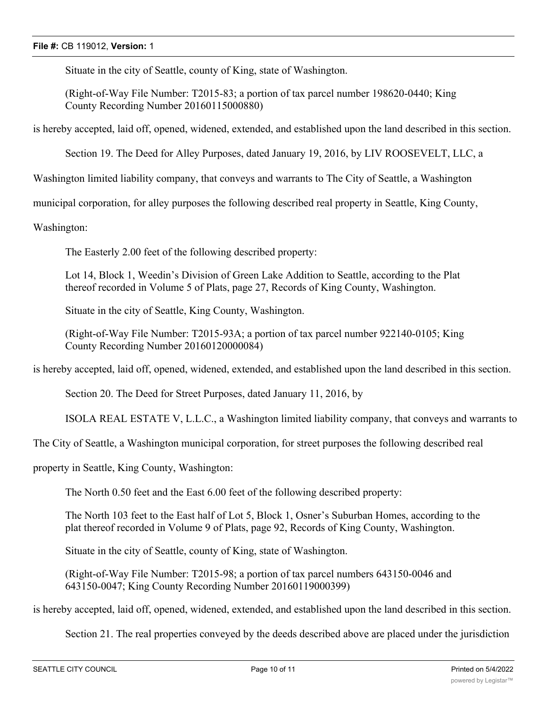Situate in the city of Seattle, county of King, state of Washington.

(Right-of-Way File Number: T2015-83; a portion of tax parcel number 198620-0440; King County Recording Number 20160115000880)

is hereby accepted, laid off, opened, widened, extended, and established upon the land described in this section.

Section 19. The Deed for Alley Purposes, dated January 19, 2016, by LIV ROOSEVELT, LLC, a

Washington limited liability company, that conveys and warrants to The City of Seattle, a Washington

municipal corporation, for alley purposes the following described real property in Seattle, King County,

Washington:

The Easterly 2.00 feet of the following described property:

Lot 14, Block 1, Weedin's Division of Green Lake Addition to Seattle, according to the Plat thereof recorded in Volume 5 of Plats, page 27, Records of King County, Washington.

Situate in the city of Seattle, King County, Washington.

(Right-of-Way File Number: T2015-93A; a portion of tax parcel number 922140-0105; King County Recording Number 20160120000084)

is hereby accepted, laid off, opened, widened, extended, and established upon the land described in this section.

Section 20. The Deed for Street Purposes, dated January 11, 2016, by

ISOLA REAL ESTATE V, L.L.C., a Washington limited liability company, that conveys and warrants to

The City of Seattle, a Washington municipal corporation, for street purposes the following described real

property in Seattle, King County, Washington:

The North 0.50 feet and the East 6.00 feet of the following described property:

The North 103 feet to the East half of Lot 5, Block 1, Osner's Suburban Homes, according to the plat thereof recorded in Volume 9 of Plats, page 92, Records of King County, Washington.

Situate in the city of Seattle, county of King, state of Washington.

(Right-of-Way File Number: T2015-98; a portion of tax parcel numbers 643150-0046 and 643150-0047; King County Recording Number 20160119000399)

is hereby accepted, laid off, opened, widened, extended, and established upon the land described in this section.

Section 21. The real properties conveyed by the deeds described above are placed under the jurisdiction